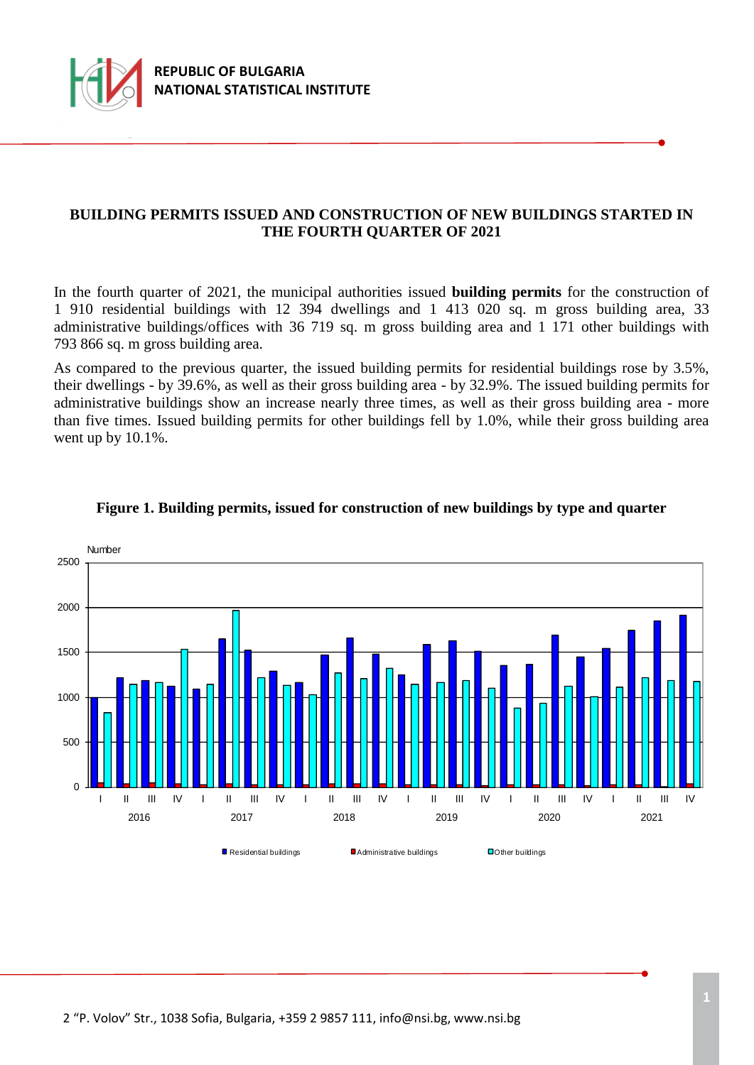

### **BUILDING PERMITS ISSUED AND CONSTRUCTION OF NEW BUILDINGS STARTED IN THE FOURTH QUARTER OF 2021**

In the fourth quarter of 2021, the municipal authorities issued **building permits** for the construction of 1 910 residential buildings with 12 394 dwellings and 1 413 020 sq. m gross building area, 33 administrative buildings/offices with 36 719 sq. m gross building area and 1 171 other buildings with 793 866 sq. m gross building area.

As compared to the previous quarter, the issued building permits for residential buildings rose by 3.5%, their dwellings - by 39.6%, as well as their gross building area - by 32.9%. The issued building permits for administrative buildings show an increase nearly three times, as well as their gross building area - more thаn five times. Issued building permits for other buildings fell by 1.0%, while their gross building area went up by 10.1%.



#### **Figure 1. Building permits, issued for construction of new buildings by type and quarter**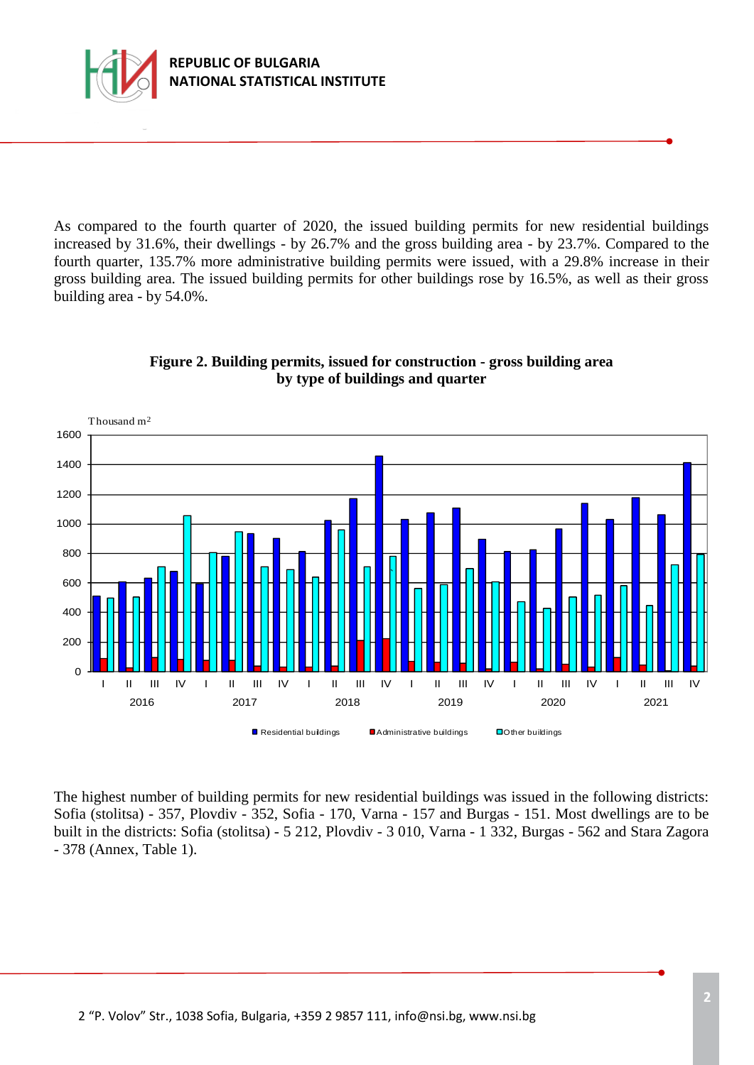

As compared to the fourth quarter of 2020, the issued building permits for new residential buildings increased by 31.6%, their dwellings - by 26.7% and the gross building area - by 23.7%. Compared to the fourth quarter, 135.7% more administrative building permits were issued, with a 29.8% increase in their gross building area. The issued building permits for other buildings rose by 16.5%, as well as their gross building area - by 54.0%.



**Figure 2. Building permits, issued for construction - gross building area by type of buildings and quarter** 

The highest number of building permits for new residential buildings was issued in the following districts: Sofia (stolitsa) - 357, Plovdiv - 352, Sofia - 170, Varna - 157 and Burgas - 151. Most dwellings are to be built in the districts: Sofia (stolitsa) - 5 212, Plovdiv - 3 010, Varna - 1 332, Burgas - 562 and Stara Zagora - 378 (Annex, Table 1).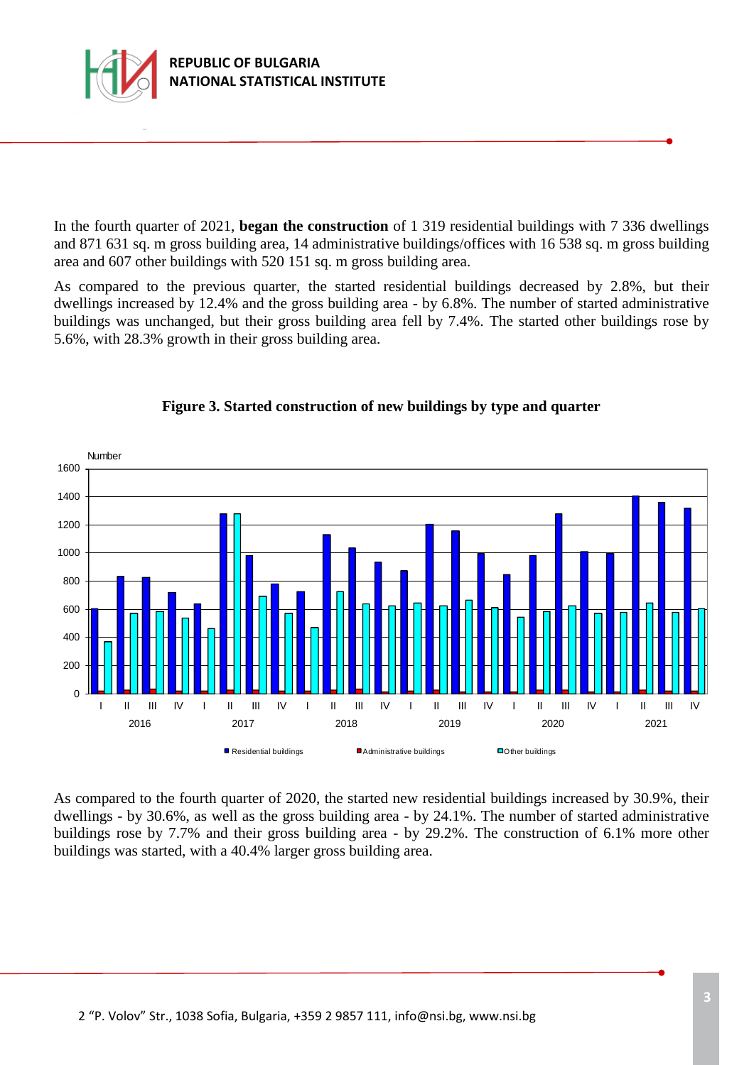

In the fourth quarter of 2021, **began the construction** of 1 319 residential buildings with 7 336 dwellings and 871 631 sq. m gross building area, 14 administrative buildings/offices with 16 538 sq. m gross building area and 607 other buildings with 520 151 sq. m gross building area.

As compared to the previous quarter, the started residential buildings decreased by 2.8%, but their dwellings increased by 12.4% and the gross building area - by 6.8%. The number of started administrative buildings was unchanged, but their gross building area fell by 7.4%. The started other buildings rose by 5.6%, with 28.3% growth in their gross building area.



## **Figure 3. Started construction of new buildings by type and quarter**

As compared to the fourth quarter of 2020, the started new residential buildings increased by 30.9%, their dwellings - by 30.6%, as well as the gross building area - by 24.1%. The number of started administrative buildings rose by 7.7% and their gross building area - by 29.2%. The construction of 6.1% more other buildings was started, with a 40.4% larger gross building area.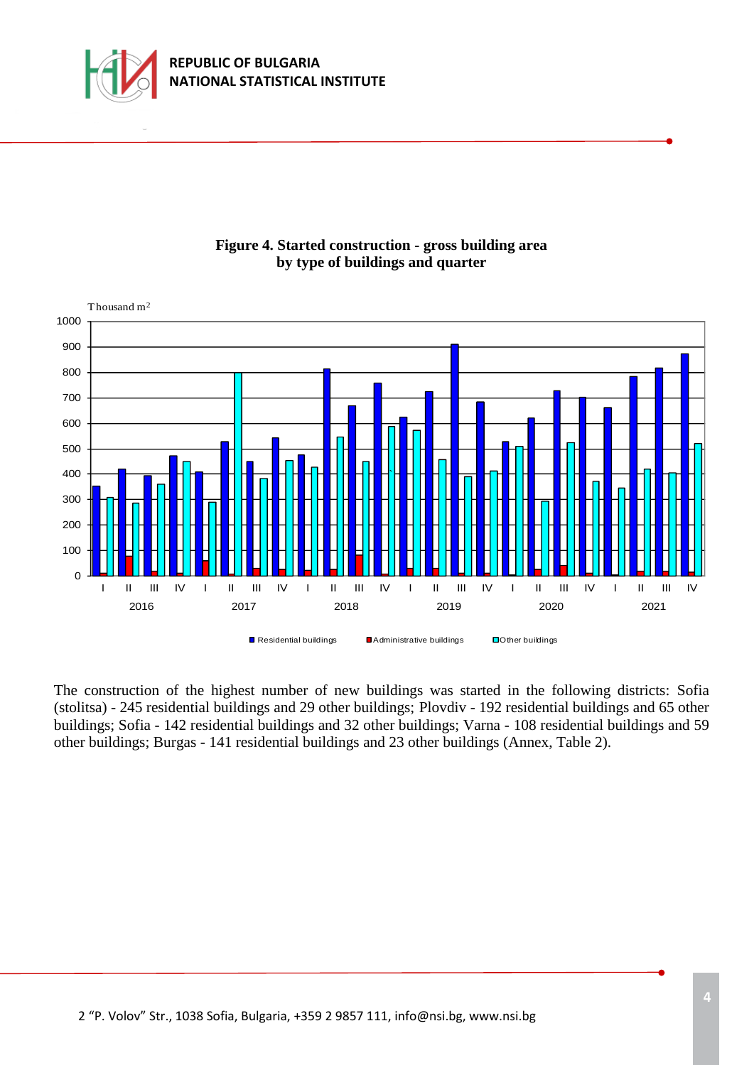





The construction of the highest number of new buildings was started in the following districts: Sofia (stolitsa) - 245 residential buildings and 29 other buildings; Plovdiv - 192 residential buildings and 65 other buildings; Sofia - 142 residential buildings and 32 other buildings; Varna - 108 residential buildings and 59 other buildings; Burgas - 141 residential buildings and 23 other buildings (Annex, Table 2).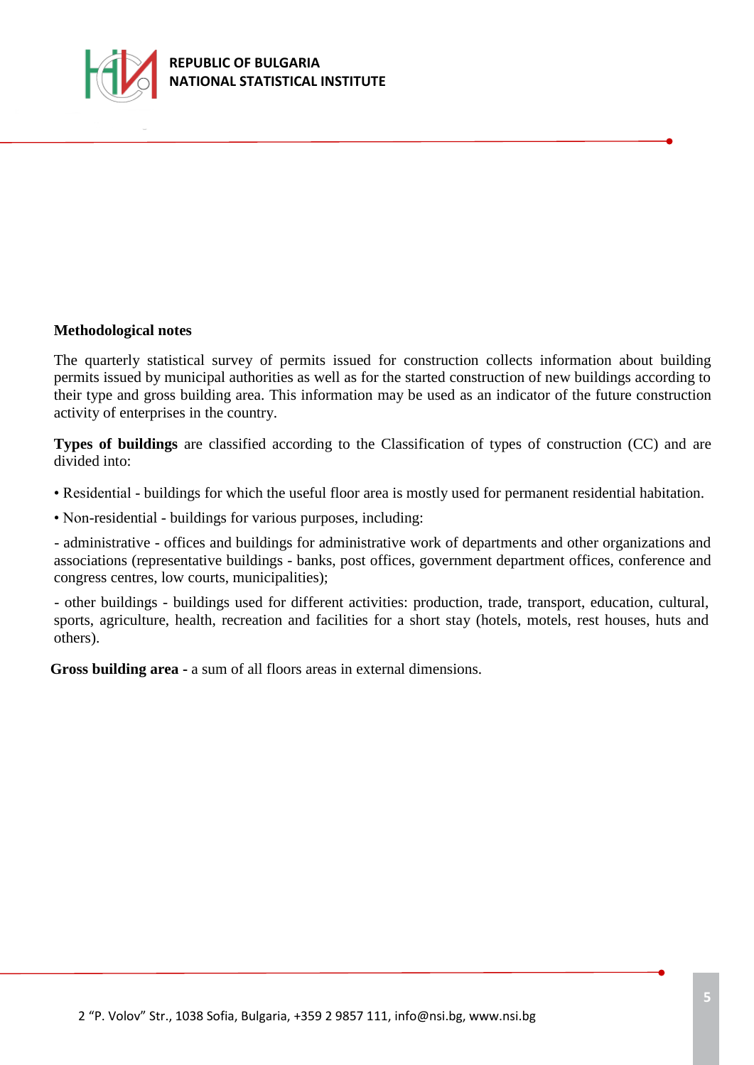

#### **Methodological notes**

The quarterly statistical survey of permits issued for construction collects information about building permits issued by municipal authorities as well as for the started construction of new buildings according to their type and gross building area. This information may be used as an indicator of the future construction activity of enterprises in the country.

**Types of buildings** are classified according to the Classification of types of construction (CC) and are divided into:

- Residential buildings for which the useful floor area is mostly used for permanent residential habitation.
- Non-residential *-* buildings for various purposes, including:

- administrative - offices and buildings for administrative work of departments and other organizations and associations (representative buildings - banks, post offices, government department offices, conference and congress centres, low courts, municipalities);

- other buildings - buildings used for different activities: production, trade, transport, education, cultural, sports, agriculture, health, recreation and facilities for a short stay (hotels, motels, rest houses, huts and others).

**Gross building area -** a sum of all floors areas in external dimensions.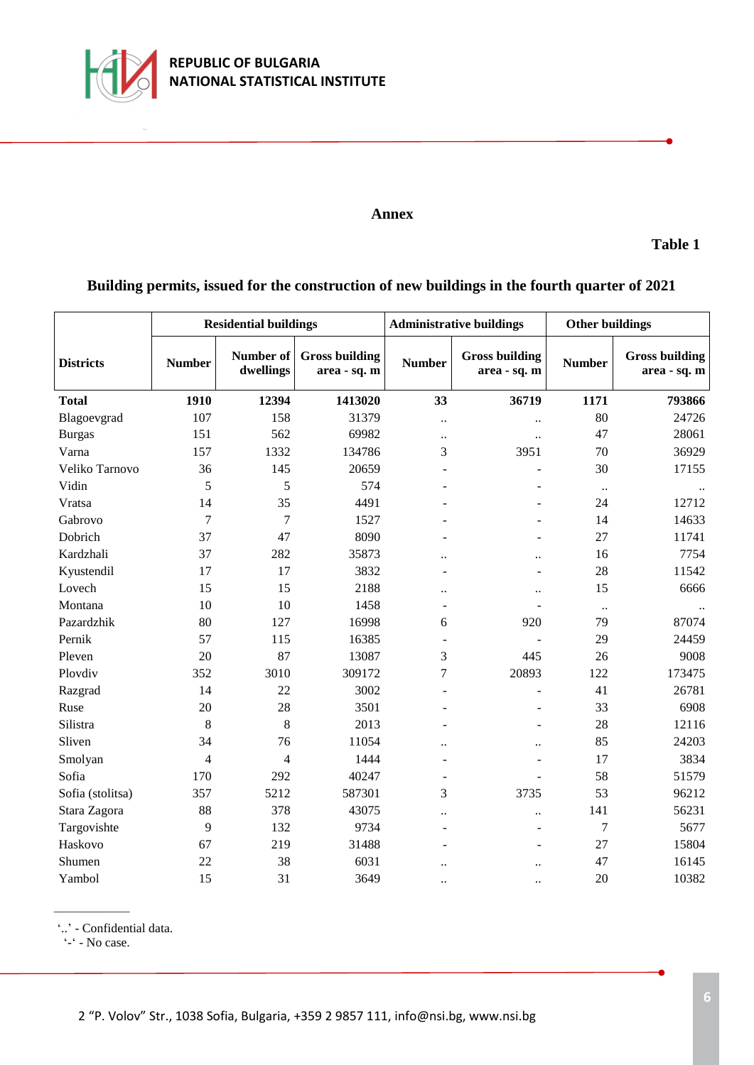

#### **Annex**

**Table 1**

# **Building permits, issued for the construction of new buildings in the fourth quarter of 2021**

|                  | <b>Residential buildings</b> |                               |                                       | <b>Administrative buildings</b> |                                       | <b>Other buildings</b> |                                       |
|------------------|------------------------------|-------------------------------|---------------------------------------|---------------------------------|---------------------------------------|------------------------|---------------------------------------|
| <b>Districts</b> | <b>Number</b>                | <b>Number of</b><br>dwellings | <b>Gross building</b><br>area - sq. m | <b>Number</b>                   | <b>Gross building</b><br>area - sq. m | <b>Number</b>          | <b>Gross building</b><br>area - sq. m |
| <b>Total</b>     | 1910                         | 12394                         | 1413020                               | 33                              | 36719                                 | 1171                   | 793866                                |
| Blagoevgrad      | 107                          | 158                           | 31379                                 | $\ddot{\phantom{0}}$            | $\ddot{\phantom{a}}$                  | 80                     | 24726                                 |
| <b>Burgas</b>    | 151                          | 562                           | 69982                                 | $\ddot{\phantom{0}}$            | $\ddotsc$                             | 47                     | 28061                                 |
| Varna            | 157                          | 1332                          | 134786                                | 3                               | 3951                                  | 70                     | 36929                                 |
| Veliko Tarnovo   | 36                           | 145                           | 20659                                 |                                 |                                       | 30                     | 17155                                 |
| Vidin            | 5                            | 5                             | 574                                   |                                 |                                       | $\ddotsc$              |                                       |
| Vratsa           | 14                           | 35                            | 4491                                  |                                 |                                       | 24                     | 12712                                 |
| Gabrovo          | 7                            | $\overline{7}$                | 1527                                  |                                 |                                       | 14                     | 14633                                 |
| Dobrich          | 37                           | 47                            | 8090                                  |                                 |                                       | 27                     | 11741                                 |
| Kardzhali        | 37                           | 282                           | 35873                                 | $\ddot{\phantom{a}}$            | $\ddot{\phantom{a}}$                  | 16                     | 7754                                  |
| Kyustendil       | 17                           | 17                            | 3832                                  | $\overline{a}$                  | $\overline{\phantom{0}}$              | 28                     | 11542                                 |
| Lovech           | 15                           | 15                            | 2188                                  | $\ddot{\phantom{0}}$            | $\ddot{\phantom{a}}$                  | 15                     | 6666                                  |
| Montana          | 10                           | 10                            | 1458                                  | ÷                               |                                       | $\ldots$               |                                       |
| Pazardzhik       | 80                           | 127                           | 16998                                 | 6                               | 920                                   | 79                     | 87074                                 |
| Pernik           | 57                           | 115                           | 16385                                 | $\overline{\phantom{a}}$        | $\overline{\phantom{0}}$              | 29                     | 24459                                 |
| Pleven           | 20                           | 87                            | 13087                                 | 3                               | 445                                   | 26                     | 9008                                  |
| Plovdiv          | 352                          | 3010                          | 309172                                | 7                               | 20893                                 | 122                    | 173475                                |
| Razgrad          | 14                           | 22                            | 3002                                  | ÷,                              | $\overline{a}$                        | 41                     | 26781                                 |
| Ruse             | 20                           | 28                            | 3501                                  |                                 |                                       | 33                     | 6908                                  |
| Silistra         | $\,8\,$                      | $8\,$                         | 2013                                  |                                 | ۰                                     | 28                     | 12116                                 |
| Sliven           | 34                           | 76                            | 11054                                 | $\ddot{\phantom{a}}$            | $\ddot{\phantom{a}}$                  | 85                     | 24203                                 |
| Smolyan          | $\overline{4}$               | $\overline{4}$                | 1444                                  | $\overline{\phantom{a}}$        | $\overline{a}$                        | 17                     | 3834                                  |
| Sofia            | 170                          | 292                           | 40247                                 | $\overline{a}$                  | $\overline{a}$                        | 58                     | 51579                                 |
| Sofia (stolitsa) | 357                          | 5212                          | 587301                                | 3                               | 3735                                  | 53                     | 96212                                 |
| Stara Zagora     | 88                           | 378                           | 43075                                 | $\ddot{\phantom{0}}$            | $\ddot{\phantom{a}}$                  | 141                    | 56231                                 |
| Targovishte      | 9                            | 132                           | 9734                                  | $\overline{a}$                  | $\blacksquare$                        | 7                      | 5677                                  |
| Haskovo          | 67                           | 219                           | 31488                                 |                                 |                                       | 27                     | 15804                                 |
| Shumen           | 22                           | 38                            | 6031                                  | $\ddot{\phantom{0}}$            | $\ddot{\phantom{0}}$                  | 47                     | 16145                                 |
| Yambol           | 15                           | 31                            | 3649                                  | $\ddot{\phantom{0}}$            | $\ddot{\phantom{0}}$                  | 20                     | 10382                                 |

'..' - Confidential data.

'-' - No case.

\_\_\_\_\_\_\_\_\_\_\_\_\_\_\_